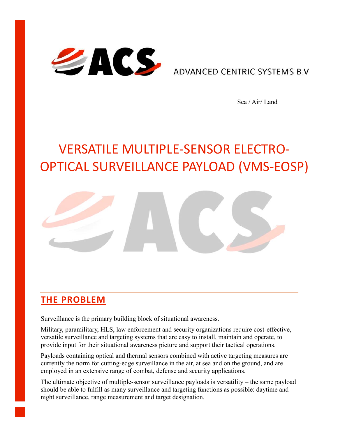

**ADVANCED CENTRIC SYSTEMS B.V.** 

Sea / Air/ Land

# VERSATILE MULTIPLE-SENSOR ELECTRO-OPTICAL SURVEILLANCE PAYLOAD (VMS-EOSP)



## **THE PROBLEM**

Surveillance is the primary building block of situational awareness.

Military, paramilitary, HLS, law enforcement and security organizations require cost-effective, versatile surveillance and targeting systems that are easy to install, maintain and operate, to provide input for their situational awareness picture and support their tactical operations.

Payloads containing optical and thermal sensors combined with active targeting measures are currently the norm for cutting-edge surveillance in the air, at sea and on the ground, and are employed in an extensive range of combat, defense and security applications.

The ultimate objective of multiple-sensor surveillance payloads is versatility – the same payload should be able to fulfill as many surveillance and targeting functions as possible: daytime and night surveillance, range measurement and target designation.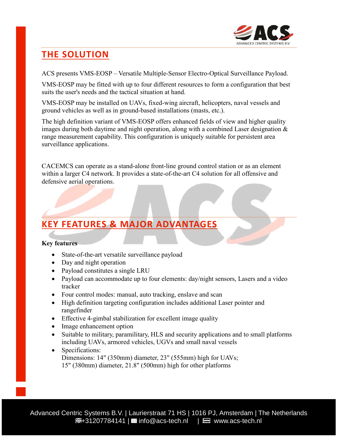

# **THE SOLUTION**

ACS presents VMS-EOSP – Versatile Multiple-Sensor Electro-Optical Surveillance Payload.

VMS-EOSP may be fitted with up to four different resources to form a configuration that best suits the user's needs and the tactical situation at hand.

VMS-EOSP may be installed on UAVs, fixed-wing aircraft, helicopters, naval vessels and ground vehicles as well as in ground-based installations (masts, etc.).

The high definition variant of VMS-EOSP offers enhanced fields of view and higher quality images during both daytime and night operation, along with a combined Laser designation & range measurement capability. This configuration is uniquely suitable for persistent area surveillance applications.

CACEMCS can operate as a stand-alone front-line ground control station or as an element within a larger C4 network. It provides a state-of-the-art C4 solution for all offensive and defensive aerial operations.

## **KEY FEATURES & MAJOR ADVANTAGES**

#### **Key features**

- State-of-the-art versatile surveillance payload
- Day and night operation
- Payload constitutes a single LRU
- Payload can accommodate up to four elements: day/night sensors, Lasers and a video tracker
- Four control modes: manual, auto tracking, enslave and scan
- High definition targeting configuration includes additional Laser pointer and rangefinder
- Effective 4-gimbal stabilization for excellent image quality
- Image enhancement option
- Suitable to military, paramilitary, HLS and security applications and to small platforms including UAVs, armored vehicles, UGVs and small naval vessels
- Specifications: Dimensions: 14" (350mm) diameter, 23" (555mm) high for UAVs; 15" (380mm) diameter, 21.8" (500mm) high for other platforms